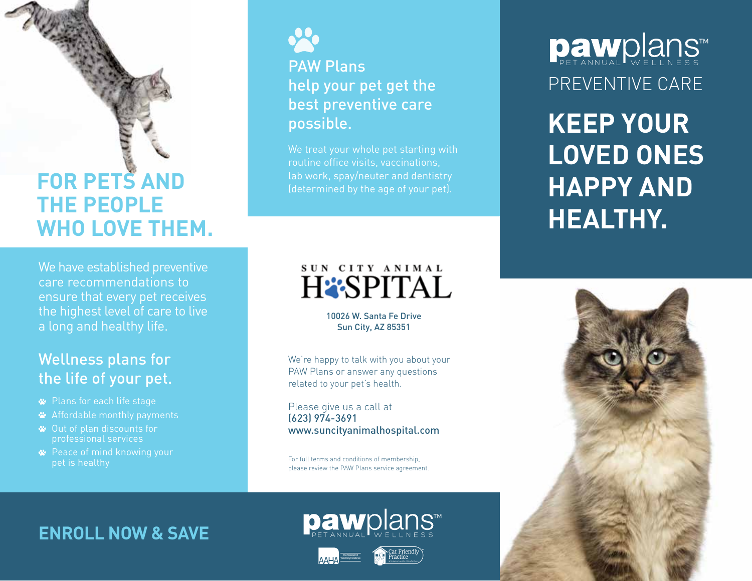## **FOR PETS AND THE PEOPLE WHO LOVE THEM.**

We have established preventive care recommendations to ensure that every pet receives the highest level of care to live a long and healthy life.

### Wellness plans for the life of your pet.

- Plans for each life stage
- Affordable monthly payments
- Out of plan discounts for professional services
- **<sup>■</sup>** Peace of mind knowing your pet is healthy

PAW Plans help your pet get the best preventive care possible.

We treat your whole pet starting with routine office visits, vaccinations, lab work, spay/neuter and dentistry

### SUN CITY ANIMAL **HESPITAL**

10026 W. Santa Fe Drive Sun City, AZ 85351

We're happy to talk with you about your PAW Plans or answer any questions related to your pet's health.

Please give us a call at (623) 974-3691 www.suncityanimalhospital.com

For full terms and conditions of membership, please review the PAW Plans service agreement.

### **ENROLL NOW & SAVE**



**paw**plans™



# PREVENTIVE CARE Dawplans

**KEEP YOUR LOVED ONES HAPPY AND HEALTHY.**